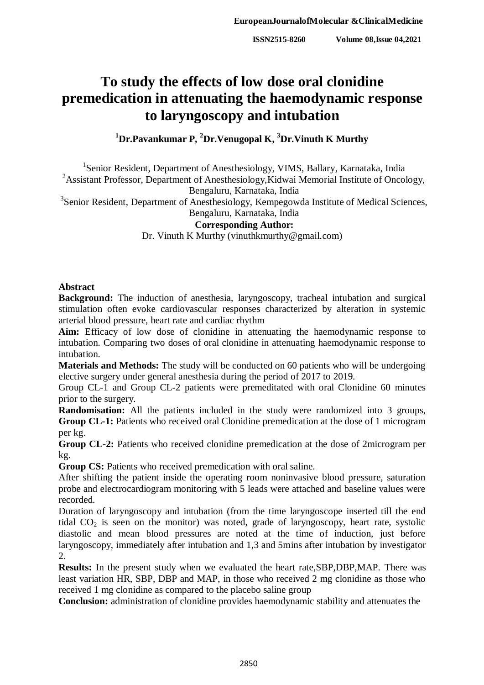# **To study the effects of low dose oral clonidine premedication in attenuating the haemodynamic response to laryngoscopy and intubation**

**<sup>1</sup>Dr.Pavankumar P, <sup>2</sup>Dr.Venugopal K, <sup>3</sup>Dr.Vinuth K Murthy**

<sup>1</sup>Senior Resident, Department of Anesthesiology, VIMS, Ballary, Karnataka, India

<sup>2</sup>Assistant Professor, Department of Anesthesiology, Kidwai Memorial Institute of Oncology, Bengaluru, Karnataka, India

<sup>3</sup>Senior Resident, Department of Anesthesiology, Kempegowda Institute of Medical Sciences,

# Bengaluru, Karnataka, India

# **Corresponding Author:**

Dr. Vinuth K Murthy (vinuthkmurthy@gmail.com)

#### **Abstract**

**Background:** The induction of anesthesia, laryngoscopy, tracheal intubation and surgical stimulation often evoke cardiovascular responses characterized by alteration in systemic arterial blood pressure, heart rate and cardiac rhythm

**Aim:** Efficacy of low dose of clonidine in attenuating the haemodynamic response to intubation. Comparing two doses of oral clonidine in attenuating haemodynamic response to intubation.

**Materials and Methods:** The study will be conducted on 60 patients who will be undergoing elective surgery under general anesthesia during the period of 2017 to 2019.

Group CL-1 and Group CL-2 patients were premeditated with oral Clonidine 60 minutes prior to the surgery.

**Randomisation:** All the patients included in the study were randomized into 3 groups, **Group CL-1:** Patients who received oral Clonidine premedication at the dose of 1 microgram per kg.

**Group CL-2:** Patients who received clonidine premedication at the dose of 2microgram per kg.

Group CS: Patients who received premedication with oral saline.

After shifting the patient inside the operating room noninvasive blood pressure, saturation probe and electrocardiogram monitoring with 5 leads were attached and baseline values were recorded.

Duration of laryngoscopy and intubation (from the time laryngoscope inserted till the end tidal  $CO<sub>2</sub>$  is seen on the monitor) was noted, grade of laryngoscopy, heart rate, systolic diastolic and mean blood pressures are noted at the time of induction, just before laryngoscopy, immediately after intubation and 1,3 and 5mins after intubation by investigator 2.

**Results:** In the present study when we evaluated the heart rate,SBP,DBP,MAP. There was least variation HR, SBP, DBP and MAP, in those who received 2 mg clonidine as those who received 1 mg clonidine as compared to the placebo saline group

**Conclusion:** administration of clonidine provides haemodynamic stability and attenuates the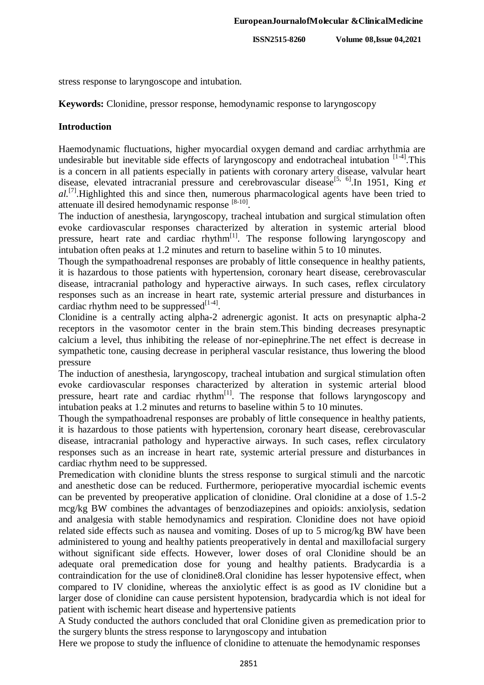**ISSN2515-8260 Volume 08,Issue 04,2021**

stress response to laryngoscope and intubation.

**Keywords:** Clonidine, pressor response, hemodynamic response to laryngoscopy

# **Introduction**

Haemodynamic fluctuations, higher myocardial oxygen demand and cardiac arrhythmia are undesirable but inevitable side effects of laryngoscopy and endotracheal intubation  $[1-4]$ . This is a concern in all patients especially in patients with coronary artery disease, valvular heart disease, elevated intracranial pressure and cerebrovascular disease<sup>[5, 6]</sup>. In 1951, King et al.<sup>[7]</sup>.Highlighted this and since then, numerous pharmacological agents have been tried to attenuate ill desired hemodynamic response [8-10].

The induction of anesthesia, laryngoscopy, tracheal intubation and surgical stimulation often evoke cardiovascular responses characterized by alteration in systemic arterial blood pressure, heart rate and cardiac rhythm<sup>[1]</sup>. The response following laryngoscopy and intubation often peaks at 1.2 minutes and return to baseline within 5 to 10 minutes.

Though the sympathoadrenal responses are probably of little consequence in healthy patients, it is hazardous to those patients with hypertension, coronary heart disease, cerebrovascular disease, intracranial pathology and hyperactive airways. In such cases, reflex circulatory responses such as an increase in heart rate, systemic arterial pressure and disturbances in cardiac rhythm need to be suppressed $^{[1-4]}$ .

Clonidine is a centrally acting alpha-2 adrenergic agonist. It acts on presynaptic alpha-2 receptors in the vasomotor center in the brain stem.This binding decreases presynaptic calcium a level, thus inhibiting the release of nor-epinephrine.The net effect is decrease in sympathetic tone, causing decrease in peripheral vascular resistance, thus lowering the blood pressure

The induction of anesthesia, laryngoscopy, tracheal intubation and surgical stimulation often evoke cardiovascular responses characterized by alteration in systemic arterial blood pressure, heart rate and cardiac rhythm<sup>[1]</sup>. The response that follows laryngoscopy and intubation peaks at 1.2 minutes and returns to baseline within 5 to 10 minutes.

Though the sympathoadrenal responses are probably of little consequence in healthy patients, it is hazardous to those patients with hypertension, coronary heart disease, cerebrovascular disease, intracranial pathology and hyperactive airways. In such cases, reflex circulatory responses such as an increase in heart rate, systemic arterial pressure and disturbances in cardiac rhythm need to be suppressed.

Premedication with clonidine blunts the stress response to surgical stimuli and the narcotic and anesthetic dose can be reduced. Furthermore, perioperative myocardial ischemic events can be prevented by preoperative application of clonidine. Oral clonidine at a dose of 1.5-2 mcg/kg BW combines the advantages of benzodiazepines and opioids: anxiolysis, sedation and analgesia with stable hemodynamics and respiration. Clonidine does not have opioid related side effects such as nausea and vomiting. Doses of up to 5 microg/kg BW have been administered to young and healthy patients preoperatively in dental and maxillofacial surgery without significant side effects. However, lower doses of oral Clonidine should be an adequate oral premedication dose for young and healthy patients. Bradycardia is a contraindication for the use of clonidine8.Oral clonidine has lesser hypotensive effect, when compared to IV clonidine, whereas the anxiolytic effect is as good as IV clonidine but a larger dose of clonidine can cause persistent hypotension, bradycardia which is not ideal for patient with ischemic heart disease and hypertensive patients

A Study conducted the authors concluded that oral Clonidine given as premedication prior to the surgery blunts the stress response to laryngoscopy and intubation

Here we propose to study the influence of clonidine to attenuate the hemodynamic responses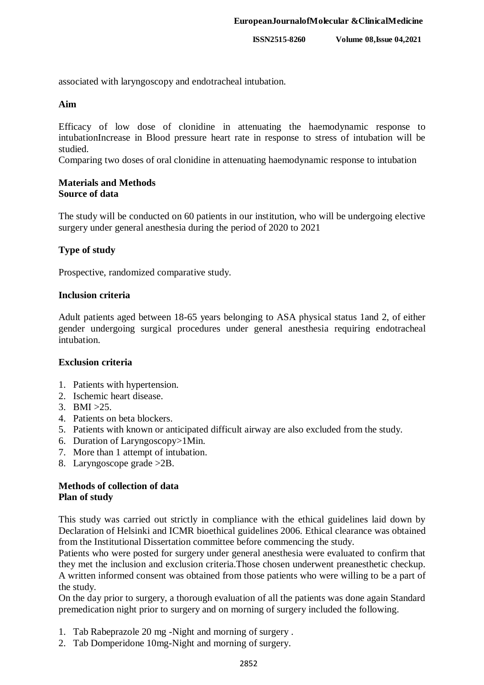associated with laryngoscopy and endotracheal intubation.

#### **Aim**

Efficacy of low dose of clonidine in attenuating the haemodynamic response to intubationIncrease in Blood pressure heart rate in response to stress of intubation will be studied.

Comparing two doses of oral clonidine in attenuating haemodynamic response to intubation

#### **Materials and Methods Source of data**

The study will be conducted on 60 patients in our institution, who will be undergoing elective surgery under general anesthesia during the period of 2020 to 2021

# **Type of study**

Prospective, randomized comparative study.

#### **Inclusion criteria**

Adult patients aged between 18-65 years belonging to ASA physical status 1and 2, of either gender undergoing surgical procedures under general anesthesia requiring endotracheal intubation.

# **Exclusion criteria**

- 1. Patients with hypertension.
- 2. Ischemic heart disease.
- 3. BMI  $>25$ .
- 4. Patients on beta blockers.
- 5. Patients with known or anticipated difficult airway are also excluded from the study.
- 6. Duration of Laryngoscopy>1Min.
- 7. More than 1 attempt of intubation.
- 8. Laryngoscope grade >2B.

# **Methods of collection of data Plan of study**

This study was carried out strictly in compliance with the ethical guidelines laid down by Declaration of Helsinki and ICMR bioethical guidelines 2006. Ethical clearance was obtained from the Institutional Dissertation committee before commencing the study.

Patients who were posted for surgery under general anesthesia were evaluated to confirm that they met the inclusion and exclusion criteria.Those chosen underwent preanesthetic checkup. A written informed consent was obtained from those patients who were willing to be a part of the study.

On the day prior to surgery, a thorough evaluation of all the patients was done again Standard premedication night prior to surgery and on morning of surgery included the following.

- 1. Tab Rabeprazole 20 mg -Night and morning of surgery .
- 2. Tab Domperidone 10mg-Night and morning of surgery.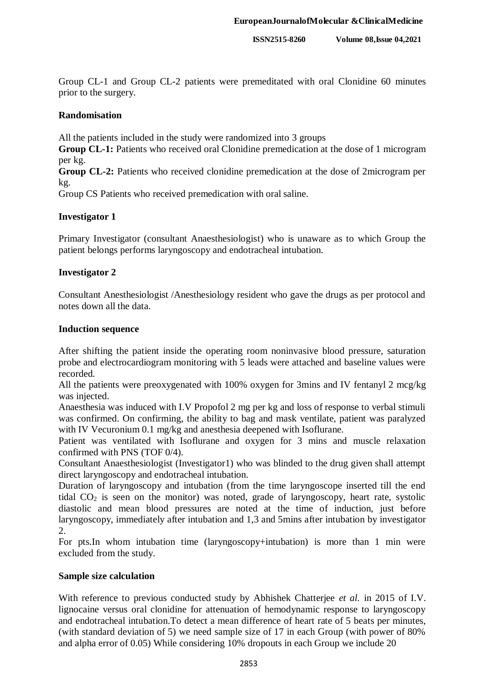Group CL-1 and Group CL-2 patients were premeditated with oral Clonidine 60 minutes prior to the surgery.

#### **Randomisation**

All the patients included in the study were randomized into 3 groups

**Group CL-1:** Patients who received oral Clonidine premedication at the dose of 1 microgram per kg.

**Group CL-2:** Patients who received clonidine premedication at the dose of 2microgram per kg.

Group CS Patients who received premedication with oral saline.

#### **Investigator 1**

Primary Investigator (consultant Anaesthesiologist) who is unaware as to which Group the patient belongs performs laryngoscopy and endotracheal intubation.

#### **Investigator 2**

Consultant Anesthesiologist /Anesthesiology resident who gave the drugs as per protocol and notes down all the data.

#### **Induction sequence**

After shifting the patient inside the operating room noninvasive blood pressure, saturation probe and electrocardiogram monitoring with 5 leads were attached and baseline values were recorded.

All the patients were preoxygenated with 100% oxygen for 3mins and IV fentanyl 2 mcg/kg was injected.

Anaesthesia was induced with I.V Propofol 2 mg per kg and loss of response to verbal stimuli was confirmed. On confirming, the ability to bag and mask ventilate, patient was paralyzed with IV Vecuronium 0.1 mg/kg and anesthesia deepened with Isoflurane.

Patient was ventilated with Isoflurane and oxygen for 3 mins and muscle relaxation confirmed with PNS (TOF 0/4).

Consultant Anaesthesiologist (Investigator1) who was blinded to the drug given shall attempt direct laryngoscopy and endotracheal intubation.

Duration of laryngoscopy and intubation (from the time laryngoscope inserted till the end tidal  $CO<sub>2</sub>$  is seen on the monitor) was noted, grade of laryngoscopy, heart rate, systolic diastolic and mean blood pressures are noted at the time of induction, just before laryngoscopy, immediately after intubation and 1,3 and 5mins after intubation by investigator 2.

For pts.In whom intubation time (laryngoscopy+intubation) is more than 1 min were excluded from the study.

#### **Sample size calculation**

With reference to previous conducted study by Abhishek Chatterjee *et al.* in 2015 of I.V. lignocaine versus oral clonidine for attenuation of hemodynamic response to laryngoscopy and endotracheal intubation.To detect a mean difference of heart rate of 5 beats per minutes, (with standard deviation of 5) we need sample size of 17 in each Group (with power of 80% and alpha error of 0.05) While considering 10% dropouts in each Group we include 20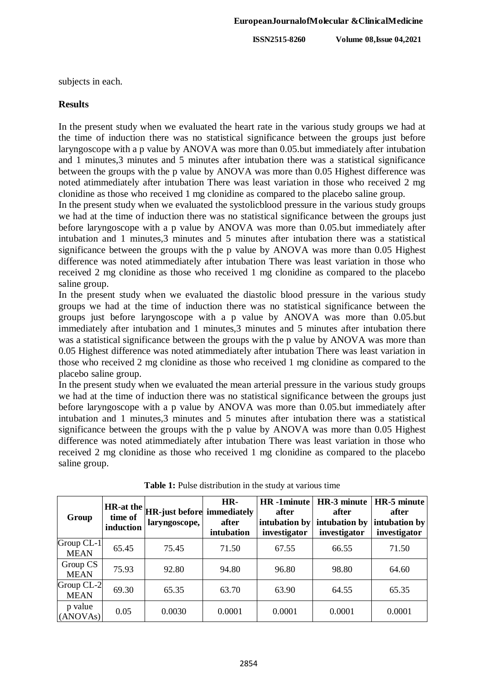**ISSN2515-8260 Volume 08,Issue 04,2021**

subjects in each.

#### **Results**

In the present study when we evaluated the heart rate in the various study groups we had at the time of induction there was no statistical significance between the groups just before laryngoscope with a p value by ANOVA was more than 0.05.but immediately after intubation and 1 minutes,3 minutes and 5 minutes after intubation there was a statistical significance between the groups with the p value by ANOVA was more than 0.05 Highest difference was noted atimmediately after intubation There was least variation in those who received 2 mg clonidine as those who received 1 mg clonidine as compared to the placebo saline group.

In the present study when we evaluated the systolicblood pressure in the various study groups we had at the time of induction there was no statistical significance between the groups just before laryngoscope with a p value by ANOVA was more than 0.05.but immediately after intubation and 1 minutes,3 minutes and 5 minutes after intubation there was a statistical significance between the groups with the p value by ANOVA was more than 0.05 Highest difference was noted atimmediately after intubation There was least variation in those who received 2 mg clonidine as those who received 1 mg clonidine as compared to the placebo saline group.

In the present study when we evaluated the diastolic blood pressure in the various study groups we had at the time of induction there was no statistical significance between the groups just before laryngoscope with a p value by ANOVA was more than 0.05.but immediately after intubation and 1 minutes,3 minutes and 5 minutes after intubation there was a statistical significance between the groups with the p value by ANOVA was more than 0.05 Highest difference was noted atimmediately after intubation There was least variation in those who received 2 mg clonidine as those who received 1 mg clonidine as compared to the placebo saline group.

In the present study when we evaluated the mean arterial pressure in the various study groups we had at the time of induction there was no statistical significance between the groups just before laryngoscope with a p value by ANOVA was more than 0.05.but immediately after intubation and 1 minutes,3 minutes and 5 minutes after intubation there was a statistical significance between the groups with the p value by ANOVA was more than 0.05 Highest difference was noted atimmediately after intubation There was least variation in those who received 2 mg clonidine as those who received 1 mg clonidine as compared to the placebo saline group.

| Group                     | induction | $ \text{HR-at the} \text{HR-just before} $ immediately<br>laryngoscope, | HR-<br>after<br>intubation | <b>HR-1minute</b><br>after<br>intubation by<br>investigator | HR-3 minute<br>after<br>intubation by<br>investigator | HR-5 minute<br>after<br>intubation by<br>investigator |
|---------------------------|-----------|-------------------------------------------------------------------------|----------------------------|-------------------------------------------------------------|-------------------------------------------------------|-------------------------------------------------------|
| Group CL-1<br><b>MEAN</b> | 65.45     | 75.45                                                                   | 71.50                      | 67.55                                                       | 66.55                                                 | 71.50                                                 |
| Group CS<br><b>MEAN</b>   | 75.93     | 92.80                                                                   | 94.80                      | 96.80                                                       | 98.80                                                 | 64.60                                                 |
| Group CL-2<br><b>MEAN</b> | 69.30     | 65.35                                                                   | 63.70                      | 63.90                                                       | 64.55                                                 | 65.35                                                 |
| p value<br>(ANOVAs)       | 0.05      | 0.0030                                                                  | 0.0001                     | 0.0001                                                      | 0.0001                                                | 0.0001                                                |

**Table 1:** Pulse distribution in the study at various time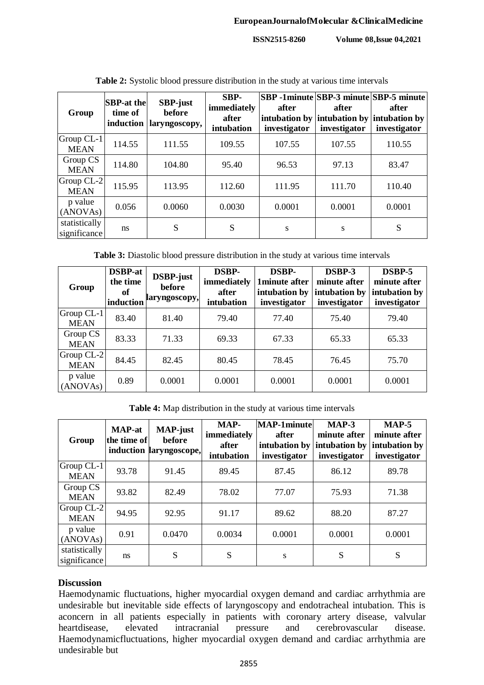**ISSN2515-8260 Volume 08,Issue 04,2021**

| Group                         | <b>SBP-at the</b><br>time of<br>induction | <b>SBP-just</b><br>before<br>laryngoscopy, | SBP-<br>immediately<br>after<br>intubation | after<br>intubation by<br>investigator | <b>SBP</b> -1minute SBP-3 minute SBP-5 minute<br>after<br>intubation by intubation by<br>investigator | after<br>investigator |
|-------------------------------|-------------------------------------------|--------------------------------------------|--------------------------------------------|----------------------------------------|-------------------------------------------------------------------------------------------------------|-----------------------|
| Group $CL-1$<br><b>MEAN</b>   | 114.55                                    | 111.55                                     | 109.55                                     | 107.55                                 | 107.55                                                                                                | 110.55                |
| Group CS<br><b>MEAN</b>       | 114.80                                    | 104.80                                     | 95.40                                      | 96.53                                  | 97.13                                                                                                 | 83.47                 |
| Group CL-2<br><b>MEAN</b>     | 115.95                                    | 113.95                                     | 112.60                                     | 111.95                                 | 111.70                                                                                                | 110.40                |
| p value<br>(ANOVAs)           | 0.056                                     | 0.0060                                     | 0.0030                                     | 0.0001                                 | 0.0001                                                                                                | 0.0001                |
| statistically<br>significance | ns                                        | S                                          | S                                          | S                                      | S                                                                                                     | S                     |

**Table 2:** Systolic blood pressure distribution in the study at various time intervals

**Table 3:** Diastolic blood pressure distribution in the study at various time intervals

| Group                     | <b>DSBP-at</b><br>the time<br><sub>of</sub><br>induction | DSBP-just<br>before<br>laryngoscopy, | <b>DSBP-</b><br>immediately<br>after<br>intubation | <b>DSBP-</b><br>1minute after<br>intubation by<br>investigator | DSBP-3<br>minute after<br>intubation by<br>investigator | DSBP-5<br>minute after<br>intubation by<br>investigator |
|---------------------------|----------------------------------------------------------|--------------------------------------|----------------------------------------------------|----------------------------------------------------------------|---------------------------------------------------------|---------------------------------------------------------|
| Group CL-1<br><b>MEAN</b> | 83.40                                                    | 81.40                                | 79.40                                              | 77.40                                                          | 75.40                                                   | 79.40                                                   |
| Group CS<br><b>MEAN</b>   | 83.33                                                    | 71.33                                | 69.33                                              | 67.33                                                          | 65.33                                                   | 65.33                                                   |
| Group CL-2<br><b>MEAN</b> | 84.45                                                    | 82.45                                | 80.45                                              | 78.45                                                          | 76.45                                                   | 75.70                                                   |
| p value<br>(ANOVAs)       | 0.89                                                     | 0.0001                               | 0.0001                                             | 0.0001                                                         | 0.0001                                                  | 0.0001                                                  |

**Table 4:** Map distribution in the study at various time intervals

| Group                         | <b>MAP-at</b><br>the time of | <b>MAP-just</b><br>before<br>induction laryngoscope, | MAP-<br>immediately<br>after<br>intubation | <b>MAP-1minute</b><br>after<br>intubation by<br>investigator | $MAP-3$<br>minute after<br>intubation by<br>investigator | $MAP-5$<br>minute after<br>intubation by<br>investigator |
|-------------------------------|------------------------------|------------------------------------------------------|--------------------------------------------|--------------------------------------------------------------|----------------------------------------------------------|----------------------------------------------------------|
| Group CL-1<br><b>MEAN</b>     | 93.78                        | 91.45                                                | 89.45                                      | 87.45                                                        | 86.12                                                    | 89.78                                                    |
| Group CS<br><b>MEAN</b>       | 93.82                        | 82.49                                                | 78.02                                      | 77.07                                                        | 75.93                                                    | 71.38                                                    |
| Group CL-2<br><b>MEAN</b>     | 94.95                        | 92.95                                                | 91.17                                      | 89.62                                                        | 88.20                                                    | 87.27                                                    |
| p value<br>(ANOVAs)           | 0.91                         | 0.0470                                               | 0.0034                                     | 0.0001                                                       | 0.0001                                                   | 0.0001                                                   |
| statistically<br>significance | ns                           | S                                                    | S                                          | S                                                            | S                                                        | S                                                        |

# **Discussion**

Haemodynamic fluctuations, higher myocardial oxygen demand and cardiac arrhythmia are undesirable but inevitable side effects of laryngoscopy and endotracheal intubation. This is aconcern in all patients especially in patients with coronary artery disease, valvular heartdisease, elevated intracranial pressure and cerebrovascular disease. heartdisease, elevated intracranial pressure and cerebrovascular disease. Haemodynamicfluctuations, higher myocardial oxygen demand and cardiac arrhythmia are undesirable but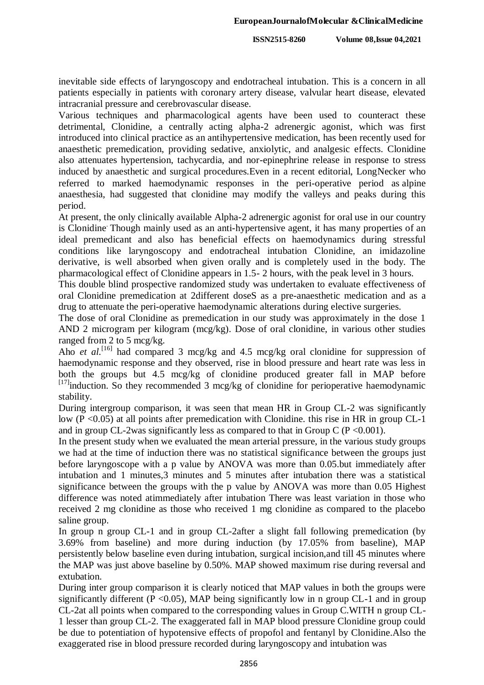inevitable side effects of laryngoscopy and endotracheal intubation. This is a concern in all patients especially in patients with coronary artery disease, valvular heart disease, elevated intracranial pressure and cerebrovascular disease.

Various techniques and pharmacological agents have been used to counteract these detrimental, Clonidine, a centrally acting alpha-2 adrenergic agonist, which was first introduced into clinical practice as an antihypertensive medication, has been recently used for anaesthetic premedication, providing sedative, anxiolytic, and analgesic effects. Clonidine also attenuates hypertension, tachycardia, and nor-epinephrine release in response to stress induced by anaesthetic and surgical procedures.Even in a recent editorial, LongNecker who referred to marked haemodynamic responses in the peri-operative period as alpine anaesthesia, had suggested that clonidine may modify the valleys and peaks during this period.

At present, the only clinically available Alpha-2 adrenergic agonist for oral use in our country is Clonidine. Though mainly used as an anti-hypertensive agent, it has many properties of an ideal premedicant and also has beneficial effects on haemodynamics during stressful conditions like laryngoscopy and endotracheal intubation Clonidine, an imidazoline derivative, is well absorbed when given orally and is completely used in the body. The pharmacological effect of Clonidine appears in 1.5- 2 hours, with the peak level in 3 hours.

This double blind prospective randomized study was undertaken to evaluate effectiveness of oral Clonidine premedication at 2different doseS as a pre-anaesthetic medication and as a drug to attenuate the peri-operative haemodynamic alterations during elective surgeries.

The dose of oral Clonidine as premedication in our study was approximately in the dose 1 AND 2 microgram per kilogram (mcg/kg). Dose of oral clonidine, in various other studies ranged from 2 to 5 mcg/kg.

Aho *et al.*<sup>[16]</sup> had compared 3 mcg/kg and 4.5 mcg/kg oral clonidine for suppression of haemodynamic response and they observed, rise in blood pressure and heart rate was less in both the groups but 4.5 mcg/kg of clonidine produced greater fall in MAP before [17] induction. So they recommended 3 mcg/kg of clonidine for perioperative haemodynamic stability.

During intergroup comparison, it was seen that mean HR in Group CL-2 was significantly low (P <0.05) at all points after premedication with Clonidine. this rise in HR in group CL-1 and in group CL-2was significantly less as compared to that in Group C ( $P < 0.001$ ).

In the present study when we evaluated the mean arterial pressure, in the various study groups we had at the time of induction there was no statistical significance between the groups just before laryngoscope with a p value by ANOVA was more than 0.05.but immediately after intubation and 1 minutes,3 minutes and 5 minutes after intubation there was a statistical significance between the groups with the p value by ANOVA was more than 0.05 Highest difference was noted atimmediately after intubation There was least variation in those who received 2 mg clonidine as those who received 1 mg clonidine as compared to the placebo saline group.

In group n group CL-1 and in group CL-2after a slight fall following premedication (by 3.69% from baseline) and more during induction (by 17.05% from baseline), MAP persistently below baseline even during intubation, surgical incision,and till 45 minutes where the MAP was just above baseline by 0.50%. MAP showed maximum rise during reversal and extubation.

During inter group comparison it is clearly noticed that MAP values in both the groups were significantly different ( $P \le 0.05$ ), MAP being significantly low in n group CL-1 and in group CL-2at all points when compared to the corresponding values in Group C.WITH n group CL-1 lesser than group CL-2. The exaggerated fall in MAP blood pressure Clonidine group could be due to potentiation of hypotensive effects of propofol and fentanyl by Clonidine.Also the exaggerated rise in blood pressure recorded during laryngoscopy and intubation was